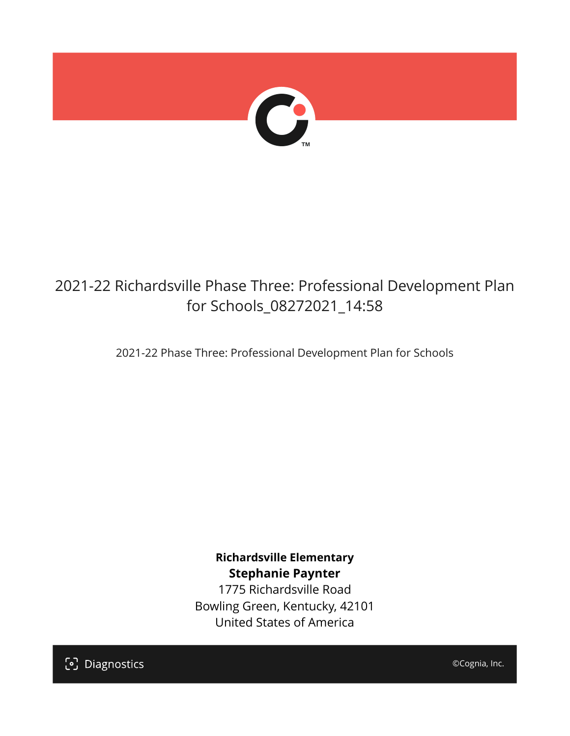

## 2021-22 Richardsville Phase Three: Professional Development Plan for Schools\_08272021\_14:58

2021-22 Phase Three: Professional Development Plan for Schools

**Richardsville Elementary Stephanie Paynter**

1775 Richardsville Road Bowling Green, Kentucky, 42101 United States of America

[၁] Diagnostics

©Cognia, Inc.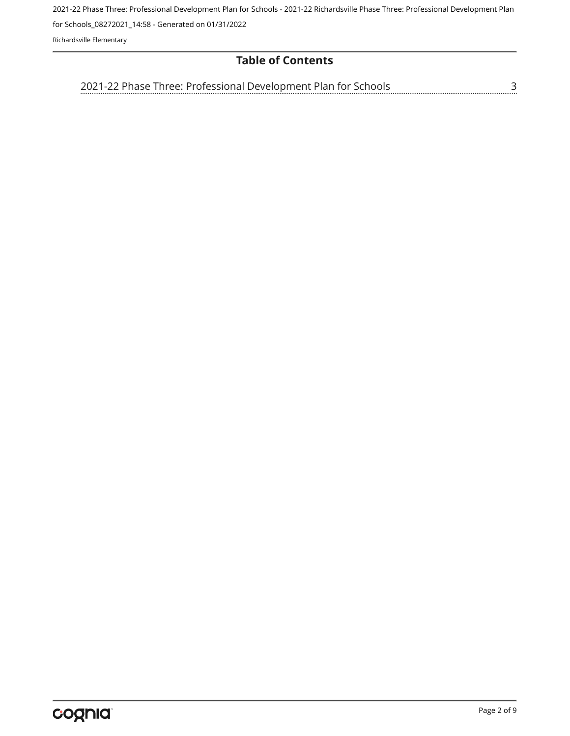2021-22 Phase Three: Professional Development Plan for Schools - 2021-22 Richardsville Phase Three: Professional Development Plan

for Schools\_08272021\_14:58 - Generated on 01/31/2022

Richardsville Elementary

## **Table of Contents**

[3](#page-2-0) [2021-22 Phase Three: Professional Development Plan for Schools](#page-2-0)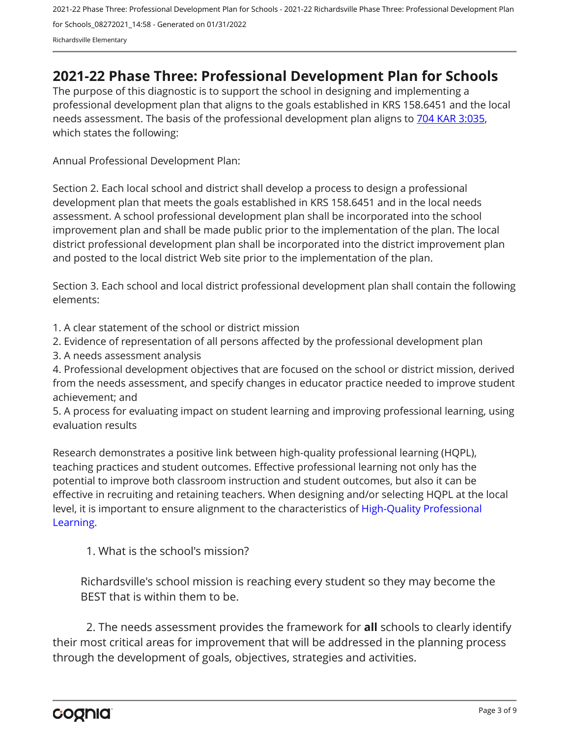## <span id="page-2-0"></span>**2021-22 Phase Three: Professional Development Plan for Schools**

The purpose of this diagnostic is to support the school in designing and implementing a professional development plan that aligns to the goals established in KRS 158.6451 and the local needs assessment. The basis of the professional development plan aligns to [704 KAR 3:035,](https://apps.legislature.ky.gov/Law/kar/704/003/035.pdf) which states the following:

Annual Professional Development Plan:

Section 2. Each local school and district shall develop a process to design a professional development plan that meets the goals established in KRS 158.6451 and in the local needs assessment. A school professional development plan shall be incorporated into the school improvement plan and shall be made public prior to the implementation of the plan. The local district professional development plan shall be incorporated into the district improvement plan and posted to the local district Web site prior to the implementation of the plan.

Section 3. Each school and local district professional development plan shall contain the following elements:

1. A clear statement of the school or district mission

2. Evidence of representation of all persons affected by the professional development plan

3. A needs assessment analysis

4. Professional development objectives that are focused on the school or district mission, derived from the needs assessment, and specify changes in educator practice needed to improve student achievement; and

5. A process for evaluating impact on student learning and improving professional learning, using evaluation results

Research demonstrates a positive link between high-quality professional learning (HQPL), teaching practices and student outcomes. Effective professional learning not only has the potential to improve both classroom instruction and student outcomes, but also it can be effective in recruiting and retaining teachers. When designing and/or selecting HQPL at the local level, it is important to ensure alignment to the characteristics of [High-Quality Professional](https://protect-us.mimecast.com/s/t_VKCmZ28lUj9ElyiG-gxw?domain=education.ky.gov)  [Learning](https://protect-us.mimecast.com/s/t_VKCmZ28lUj9ElyiG-gxw?domain=education.ky.gov).

1. What is the school's mission?

Richardsville's school mission is reaching every student so they may become the BEST that is within them to be.

2. The needs assessment provides the framework for **all** schools to clearly identify their most critical areas for improvement that will be addressed in the planning process through the development of goals, objectives, strategies and activities.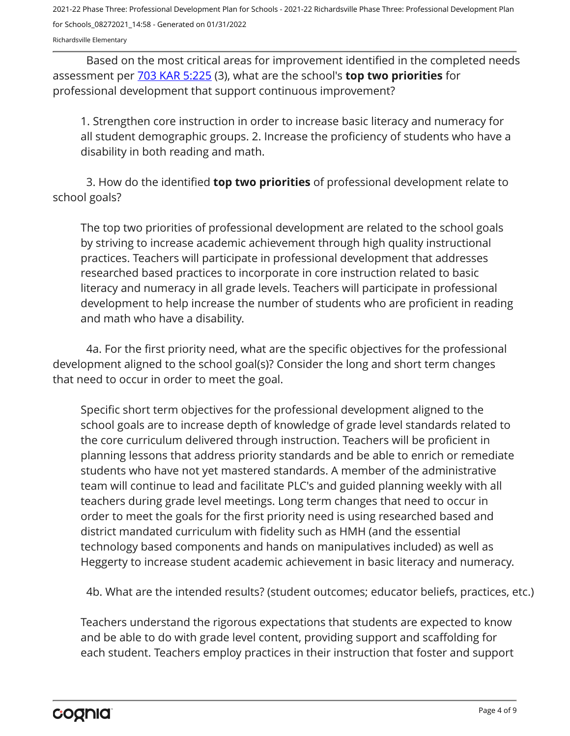Richardsville Elementary

Based on the most critical areas for improvement identified in the completed needs assessment per [703 KAR 5:225](https://apps.legislature.ky.gov/law/kar/703/005/225.pdf) (3), what are the school's **top two priorities** for professional development that support continuous improvement?

1. Strengthen core instruction in order to increase basic literacy and numeracy for all student demographic groups. 2. Increase the proficiency of students who have a disability in both reading and math.

3. How do the identified **top two priorities** of professional development relate to school goals?

The top two priorities of professional development are related to the school goals by striving to increase academic achievement through high quality instructional practices. Teachers will participate in professional development that addresses researched based practices to incorporate in core instruction related to basic literacy and numeracy in all grade levels. Teachers will participate in professional development to help increase the number of students who are proficient in reading and math who have a disability.

4a. For the first priority need, what are the specific objectives for the professional development aligned to the school goal(s)? Consider the long and short term changes that need to occur in order to meet the goal.

Specific short term objectives for the professional development aligned to the school goals are to increase depth of knowledge of grade level standards related to the core curriculum delivered through instruction. Teachers will be proficient in planning lessons that address priority standards and be able to enrich or remediate students who have not yet mastered standards. A member of the administrative team will continue to lead and facilitate PLC's and guided planning weekly with all teachers during grade level meetings. Long term changes that need to occur in order to meet the goals for the first priority need is using researched based and district mandated curriculum with fidelity such as HMH (and the essential technology based components and hands on manipulatives included) as well as Heggerty to increase student academic achievement in basic literacy and numeracy.

4b. What are the intended results? (student outcomes; educator beliefs, practices, etc.)

Teachers understand the rigorous expectations that students are expected to know and be able to do with grade level content, providing support and scaffolding for each student. Teachers employ practices in their instruction that foster and support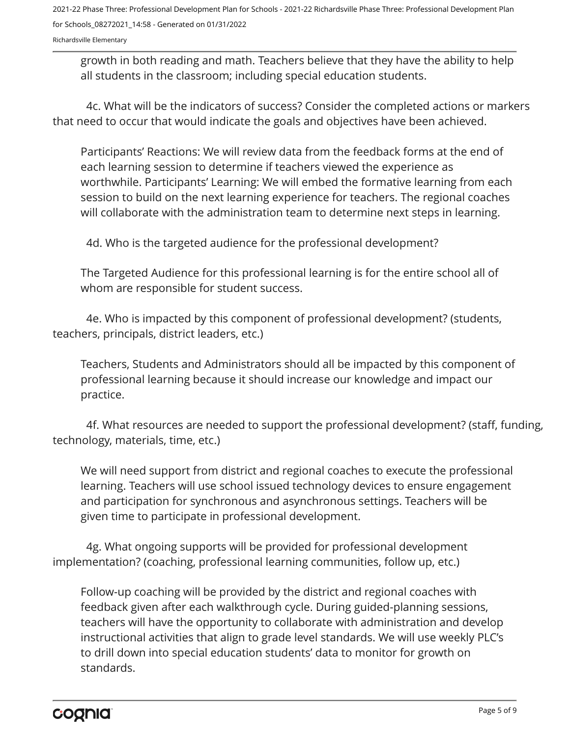Richardsville Elementary

growth in both reading and math. Teachers believe that they have the ability to help all students in the classroom; including special education students.

4c. What will be the indicators of success? Consider the completed actions or markers that need to occur that would indicate the goals and objectives have been achieved.

Participants' Reactions: We will review data from the feedback forms at the end of each learning session to determine if teachers viewed the experience as worthwhile. Participants' Learning: We will embed the formative learning from each session to build on the next learning experience for teachers. The regional coaches will collaborate with the administration team to determine next steps in learning.

4d. Who is the targeted audience for the professional development?

The Targeted Audience for this professional learning is for the entire school all of whom are responsible for student success.

4e. Who is impacted by this component of professional development? (students, teachers, principals, district leaders, etc.)

Teachers, Students and Administrators should all be impacted by this component of professional learning because it should increase our knowledge and impact our practice.

4f. What resources are needed to support the professional development? (staff, funding, technology, materials, time, etc.)

We will need support from district and regional coaches to execute the professional learning. Teachers will use school issued technology devices to ensure engagement and participation for synchronous and asynchronous settings. Teachers will be given time to participate in professional development.

4g. What ongoing supports will be provided for professional development implementation? (coaching, professional learning communities, follow up, etc.)

Follow-up coaching will be provided by the district and regional coaches with feedback given after each walkthrough cycle. During guided-planning sessions, teachers will have the opportunity to collaborate with administration and develop instructional activities that align to grade level standards. We will use weekly PLC's to drill down into special education students' data to monitor for growth on standards.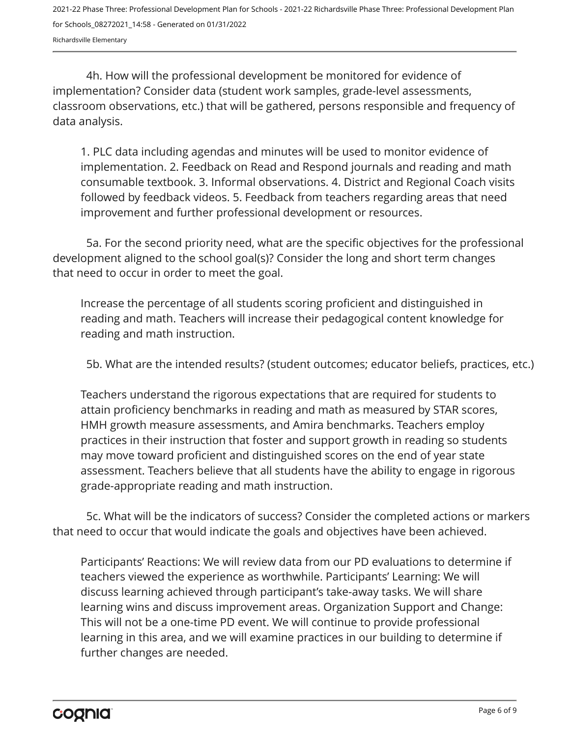4h. How will the professional development be monitored for evidence of implementation? Consider data (student work samples, grade-level assessments, classroom observations, etc.) that will be gathered, persons responsible and frequency of data analysis.

1. PLC data including agendas and minutes will be used to monitor evidence of implementation. 2. Feedback on Read and Respond journals and reading and math consumable textbook. 3. Informal observations. 4. District and Regional Coach visits followed by feedback videos. 5. Feedback from teachers regarding areas that need improvement and further professional development or resources.

5a. For the second priority need, what are the specific objectives for the professional development aligned to the school goal(s)? Consider the long and short term changes that need to occur in order to meet the goal.

Increase the percentage of all students scoring proficient and distinguished in reading and math. Teachers will increase their pedagogical content knowledge for reading and math instruction.

5b. What are the intended results? (student outcomes; educator beliefs, practices, etc.)

Teachers understand the rigorous expectations that are required for students to attain proficiency benchmarks in reading and math as measured by STAR scores, HMH growth measure assessments, and Amira benchmarks. Teachers employ practices in their instruction that foster and support growth in reading so students may move toward proficient and distinguished scores on the end of year state assessment. Teachers believe that all students have the ability to engage in rigorous grade-appropriate reading and math instruction.

5c. What will be the indicators of success? Consider the completed actions or markers that need to occur that would indicate the goals and objectives have been achieved.

Participants' Reactions: We will review data from our PD evaluations to determine if teachers viewed the experience as worthwhile. Participants' Learning: We will discuss learning achieved through participant's take-away tasks. We will share learning wins and discuss improvement areas. Organization Support and Change: This will not be a one-time PD event. We will continue to provide professional learning in this area, and we will examine practices in our building to determine if further changes are needed.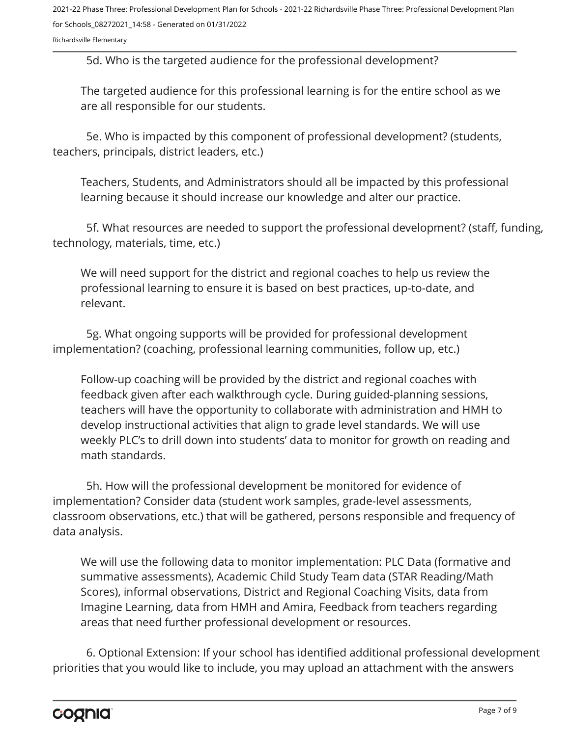Richardsville Elementary

5d. Who is the targeted audience for the professional development?

The targeted audience for this professional learning is for the entire school as we are all responsible for our students.

5e. Who is impacted by this component of professional development? (students, teachers, principals, district leaders, etc.)

Teachers, Students, and Administrators should all be impacted by this professional learning because it should increase our knowledge and alter our practice.

5f. What resources are needed to support the professional development? (staff, funding, technology, materials, time, etc.)

We will need support for the district and regional coaches to help us review the professional learning to ensure it is based on best practices, up-to-date, and relevant.

5g. What ongoing supports will be provided for professional development implementation? (coaching, professional learning communities, follow up, etc.)

Follow-up coaching will be provided by the district and regional coaches with feedback given after each walkthrough cycle. During guided-planning sessions, teachers will have the opportunity to collaborate with administration and HMH to develop instructional activities that align to grade level standards. We will use weekly PLC's to drill down into students' data to monitor for growth on reading and math standards.

5h. How will the professional development be monitored for evidence of implementation? Consider data (student work samples, grade-level assessments, classroom observations, etc.) that will be gathered, persons responsible and frequency of data analysis.

We will use the following data to monitor implementation: PLC Data (formative and summative assessments), Academic Child Study Team data (STAR Reading/Math Scores), informal observations, District and Regional Coaching Visits, data from Imagine Learning, data from HMH and Amira, Feedback from teachers regarding areas that need further professional development or resources.

6. Optional Extension: If your school has identified additional professional development priorities that you would like to include, you may upload an attachment with the answers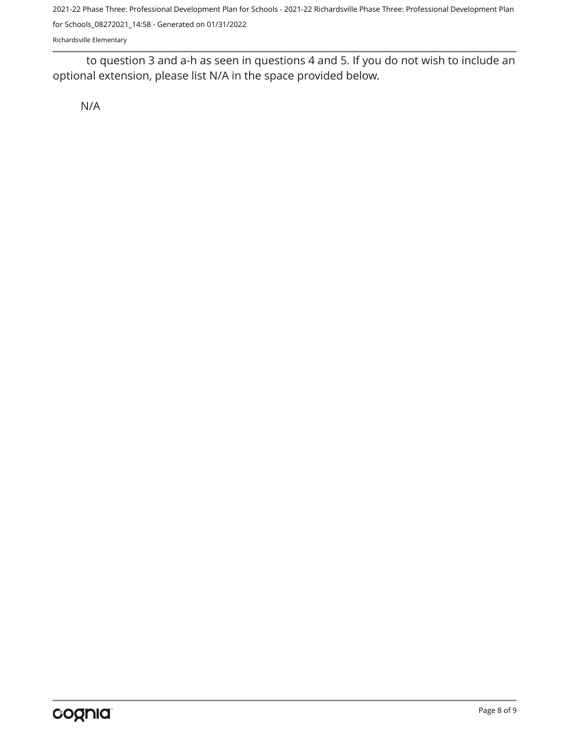Richardsville Elementary

to question 3 and a-h as seen in questions 4 and 5. If you do not wish to include an optional extension, please list N/A in the space provided below.

N/A